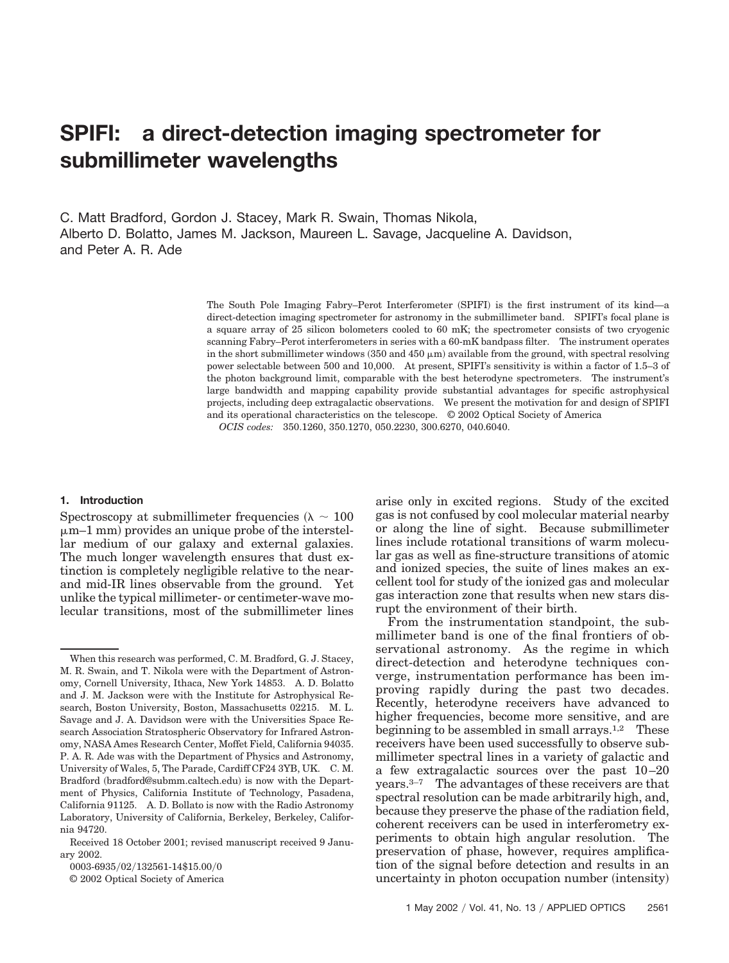# **SPIFI: a direct-detection imaging spectrometer for submillimeter wavelengths**

C. Matt Bradford, Gordon J. Stacey, Mark R. Swain, Thomas Nikola, Alberto D. Bolatto, James M. Jackson, Maureen L. Savage, Jacqueline A. Davidson, and Peter A. R. Ade

> The South Pole Imaging Fabry–Perot Interferometer (SPIFI) is the first instrument of its kind—a direct-detection imaging spectrometer for astronomy in the submillimeter band. SPIFI's focal plane is a square array of 25 silicon bolometers cooled to 60 mK; the spectrometer consists of two cryogenic scanning Fabry–Perot interferometers in series with a 60-mK bandpass filter. The instrument operates in the short submillimeter windows  $(350 \text{ and } 450 \mu \text{m})$  available from the ground, with spectral resolving power selectable between 500 and 10,000. At present, SPIFI's sensitivity is within a factor of 1.5–3 of the photon background limit, comparable with the best heterodyne spectrometers. The instrument's large bandwidth and mapping capability provide substantial advantages for specific astrophysical projects, including deep extragalactic observations. We present the motivation for and design of SPIFI and its operational characteristics on the telescope. © 2002 Optical Society of America

*OCIS codes:* 350.1260, 350.1270, 050.2230, 300.6270, 040.6040.

### **1. Introduction**

Spectroscopy at submillimeter frequencies ( $\lambda \sim 100$ )  $\mu$ m–1 mm) provides an unique probe of the interstellar medium of our galaxy and external galaxies. The much longer wavelength ensures that dust extinction is completely negligible relative to the nearand mid-IR lines observable from the ground. Yet unlike the typical millimeter- or centimeter-wave molecular transitions, most of the submillimeter lines

© 2002 Optical Society of America

arise only in excited regions. Study of the excited gas is not confused by cool molecular material nearby or along the line of sight. Because submillimeter lines include rotational transitions of warm molecular gas as well as fine-structure transitions of atomic and ionized species, the suite of lines makes an excellent tool for study of the ionized gas and molecular gas interaction zone that results when new stars disrupt the environment of their birth.

From the instrumentation standpoint, the submillimeter band is one of the final frontiers of observational astronomy. As the regime in which direct-detection and heterodyne techniques converge, instrumentation performance has been improving rapidly during the past two decades. Recently, heterodyne receivers have advanced to higher frequencies, become more sensitive, and are beginning to be assembled in small arrays.<sup>1,2</sup> These receivers have been used successfully to observe submillimeter spectral lines in a variety of galactic and a few extragalactic sources over the past 10–20 years.3–7 The advantages of these receivers are that spectral resolution can be made arbitrarily high, and, because they preserve the phase of the radiation field, coherent receivers can be used in interferometry experiments to obtain high angular resolution. The preservation of phase, however, requires amplification of the signal before detection and results in an uncertainty in photon occupation number (intensity)

When this research was performed, C. M. Bradford, G. J. Stacey, M. R. Swain, and T. Nikola were with the Department of Astronomy, Cornell University, Ithaca, New York 14853. A. D. Bolatto and J. M. Jackson were with the Institute for Astrophysical Research, Boston University, Boston, Massachusetts 02215. M. L. Savage and J. A. Davidson were with the Universities Space Research Association Stratospheric Observatory for Infrared Astronomy, NASA Ames Research Center, Moffet Field, California 94035. P. A. R. Ade was with the Department of Physics and Astronomy, University of Wales, 5, The Parade, Cardiff CF24 3YB, UK. C. M. Bradford (bradford@submm.caltech.edu) is now with the Department of Physics, California Institute of Technology, Pasadena, California 91125. A. D. Bollato is now with the Radio Astronomy Laboratory, University of California, Berkeley, Berkeley, California 94720.

Received 18 October 2001; revised manuscript received 9 January 2002.

<sup>0003-6935/02/132561-14\$15.00/0</sup>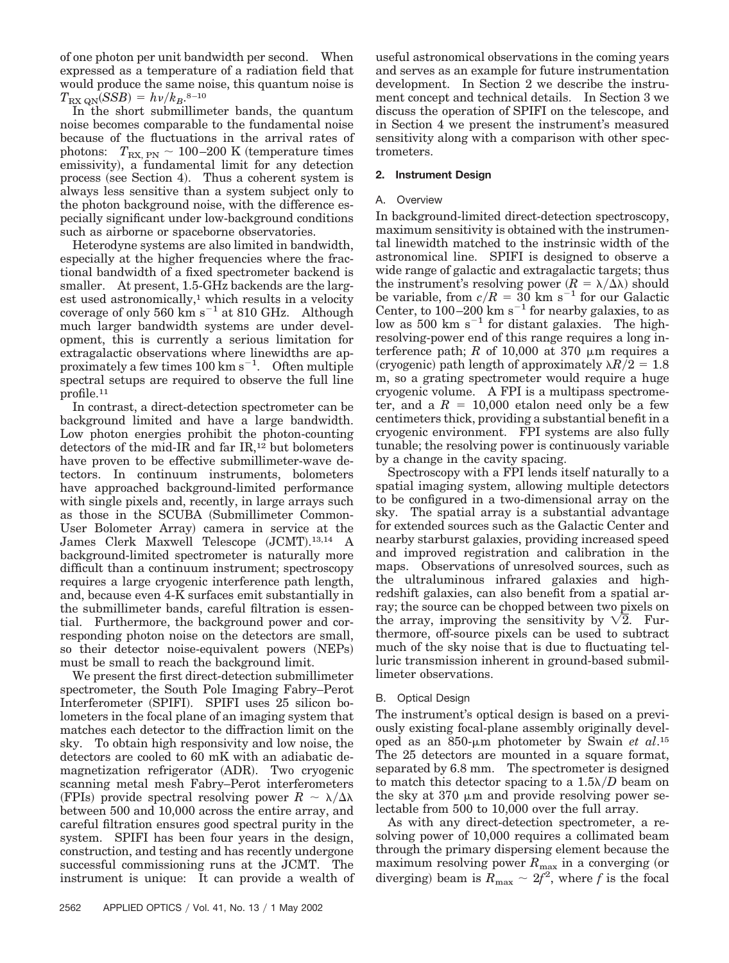of one photon per unit bandwidth per second. When expressed as a temperature of a radiation field that would produce the same noise, this quantum noise is  $T_{\rm RX\ QN} (SSB) = h\nu/k_B$ .<sup>8–10</sup>

In the short submillimeter bands, the quantum noise becomes comparable to the fundamental noise because of the fluctuations in the arrival rates of photons:  $T_{\text{RX, PN}} \sim 100{\text -}200 \text{ K}$  (temperature times emissivity), a fundamental limit for any detection process (see Section 4). Thus a coherent system is always less sensitive than a system subject only to the photon background noise, with the difference especially significant under low-background conditions such as airborne or spaceborne observatories.

Heterodyne systems are also limited in bandwidth, especially at the higher frequencies where the fractional bandwidth of a fixed spectrometer backend is smaller. At present, 1.5-GHz backends are the largest used astronomically, $1$  which results in a velocity coverage of only 560  $km s^{-1}$  at 810 GHz. Although much larger bandwidth systems are under development, this is currently a serious limitation for extragalactic observations where linewidths are approximately a few times  $100 \text{ km s}^{-1}$ . Often multiple spectral setups are required to observe the full line profile.11

In contrast, a direct-detection spectrometer can be background limited and have a large bandwidth. Low photon energies prohibit the photon-counting detectors of the mid-IR and far IR,<sup>12</sup> but bolometers have proven to be effective submillimeter-wave detectors. In continuum instruments, bolometers have approached background-limited performance with single pixels and, recently, in large arrays such as those in the SCUBA (Submillimeter Common-User Bolometer Array) camera in service at the James Clerk Maxwell Telescope (JCMT).<sup>13,14</sup> A background-limited spectrometer is naturally more difficult than a continuum instrument; spectroscopy requires a large cryogenic interference path length, and, because even 4-K surfaces emit substantially in the submillimeter bands, careful filtration is essential. Furthermore, the background power and corresponding photon noise on the detectors are small, so their detector noise-equivalent powers (NEPs) must be small to reach the background limit.

We present the first direct-detection submillimeter spectrometer, the South Pole Imaging Fabry–Perot Interferometer (SPIFI). SPIFI uses 25 silicon bolometers in the focal plane of an imaging system that matches each detector to the diffraction limit on the sky. To obtain high responsivity and low noise, the detectors are cooled to 60 mK with an adiabatic demagnetization refrigerator (ADR). Two cryogenic scanning metal mesh Fabry–Perot interferometers (FPIs) provide spectral resolving power  $R \sim \lambda/\Delta\lambda$ between 500 and 10,000 across the entire array, and careful filtration ensures good spectral purity in the system. SPIFI has been four years in the design, construction, and testing and has recently undergone successful commissioning runs at the JCMT. The instrument is unique: It can provide a wealth of

useful astronomical observations in the coming years and serves as an example for future instrumentation development. In Section 2 we describe the instrument concept and technical details. In Section 3 we discuss the operation of SPIFI on the telescope, and in Section 4 we present the instrument's measured sensitivity along with a comparison with other spectrometers.

# **2. Instrument Design**

## A. Overview

In background-limited direct-detection spectroscopy, maximum sensitivity is obtained with the instrumental linewidth matched to the instrinsic width of the astronomical line. SPIFI is designed to observe a wide range of galactic and extragalactic targets; thus the instrument's resolving power  $(R = \lambda/\Delta\lambda)$  should be variable, from  $c/R = 30$  km s<sup>-1</sup> for our Galactic Center, to  $100-200$  km s<sup>-1</sup> for nearby galaxies, to as low as  $500 \text{ km s}^{-1}$  for distant galaxies. The highresolving-power end of this range requires a long interference path; *R* of 10,000 at 370  $\mu$ m requires a (cryogenic) path length of approximately  $\lambda R/2 = 1.8$ m, so a grating spectrometer would require a huge cryogenic volume. A FPI is a multipass spectrometer, and a  $R = 10,000$  etalon need only be a few centimeters thick, providing a substantial benefit in a cryogenic environment. FPI systems are also fully tunable; the resolving power is continuously variable by a change in the cavity spacing.

Spectroscopy with a FPI lends itself naturally to a spatial imaging system, allowing multiple detectors to be configured in a two-dimensional array on the sky. The spatial array is a substantial advantage for extended sources such as the Galactic Center and nearby starburst galaxies, providing increased speed and improved registration and calibration in the maps. Observations of unresolved sources, such as the ultraluminous infrared galaxies and highredshift galaxies, can also benefit from a spatial array; the source can be chopped between two pixels on the array, improving the sensitivity by  $\sqrt{2}$ . Furthermore, off-source pixels can be used to subtract much of the sky noise that is due to fluctuating telluric transmission inherent in ground-based submillimeter observations.

## B. Optical Design

The instrument's optical design is based on a previously existing focal-plane assembly originally developed as an  $850$ - $\mu$ m photometer by Swain *et al*.<sup>15</sup> The 25 detectors are mounted in a square format, separated by 6.8 mm. The spectrometer is designed to match this detector spacing to a  $1.5\lambda/D$  beam on the sky at  $370 \mu m$  and provide resolving power selectable from 500 to 10,000 over the full array.

As with any direct-detection spectrometer, a resolving power of 10,000 requires a collimated beam through the primary dispersing element because the maximum resolving power  $R_{\text{max}}$  in a converging (or diverging) beam is  $R_{\text{max}} \sim 2f^2$ , where *f* is the focal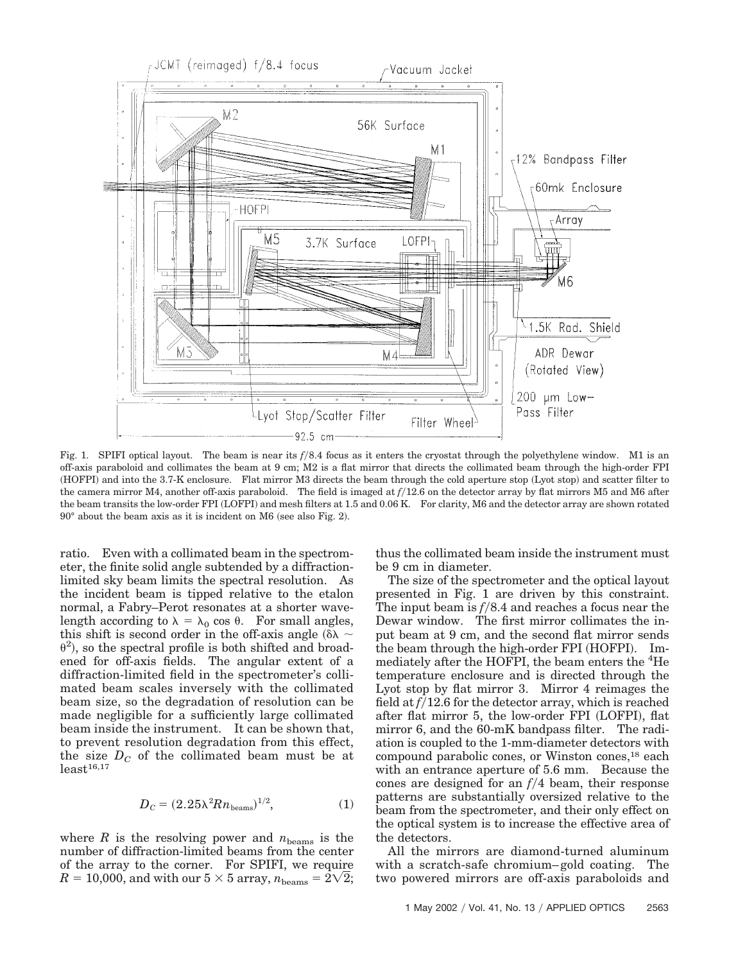

Fig. 1. SPIFI optical layout. The beam is near its  $f/8.4$  focus as it enters the cryostat through the polyethylene window. M1 is an off-axis paraboloid and collimates the beam at 9 cm; M2 is a flat mirror that directs the collimated beam through the high-order FPI (HOFPI) and into the 3.7-K enclosure. Flat mirror M3 directs the beam through the cold aperture stop (Lyot stop) and scatter filter to the camera mirror M4, another off-axis paraboloid. The field is imaged at *f*12.6 on the detector array by flat mirrors M5 and M6 after the beam transits the low-order FPI (LOFPI) and mesh filters at 1.5 and 0.06 K. For clarity, M6 and the detector array are shown rotated  $90^\circ$  about the beam axis as it is incident on M6 (see also Fig. 2).

ratio. Even with a collimated beam in the spectrometer, the finite solid angle subtended by a diffractionlimited sky beam limits the spectral resolution. As the incident beam is tipped relative to the etalon normal, a Fabry–Perot resonates at a shorter wavelength according to  $\lambda = \lambda_0 \cos \theta$ . For small angles, this shift is second order in the off-axis angle ( $\delta \lambda \sim$  $\theta^2$ ), so the spectral profile is both shifted and broadened for off-axis fields. The angular extent of a diffraction-limited field in the spectrometer's collimated beam scales inversely with the collimated beam size, so the degradation of resolution can be made negligible for a sufficiently large collimated beam inside the instrument. It can be shown that, to prevent resolution degradation from this effect, the size  $D<sub>C</sub>$  of the collimated beam must be at  $least<sup>16,17</sup>$ 

$$
D_C = (2.25\lambda^2 R n_{\text{beams}})^{1/2},\tag{1}
$$

where  $R$  is the resolving power and  $n_{\text{beams}}$  is the number of diffraction-limited beams from the center of the array to the corner. For SPIFI, we require  $R = 10{,}000, \text{ and with our } 5 \times 5 \text{ array, } n_\text{beams} = \tilde{2} \sqrt{2};$ 

thus the collimated beam inside the instrument must be 9 cm in diameter.

The size of the spectrometer and the optical layout presented in Fig. 1 are driven by this constraint. The input beam is  $f/8.4$  and reaches a focus near the Dewar window. The first mirror collimates the input beam at 9 cm, and the second flat mirror sends the beam through the high-order FPI (HOFPI). Immediately after the HOFPI, the beam enters the <sup>4</sup>He temperature enclosure and is directed through the Lyot stop by flat mirror 3. Mirror 4 reimages the field at  $f/12.6$  for the detector array, which is reached after flat mirror 5, the low-order FPI (LOFPI), flat mirror 6, and the 60-mK bandpass filter. The radiation is coupled to the 1-mm-diameter detectors with compound parabolic cones, or Winston cones,<sup>18</sup> each with an entrance aperture of 5.6 mm. Because the cones are designed for an  $f/4$  beam, their response patterns are substantially oversized relative to the beam from the spectrometer, and their only effect on the optical system is to increase the effective area of the detectors.

All the mirrors are diamond-turned aluminum with a scratch-safe chromium–gold coating. The two powered mirrors are off-axis paraboloids and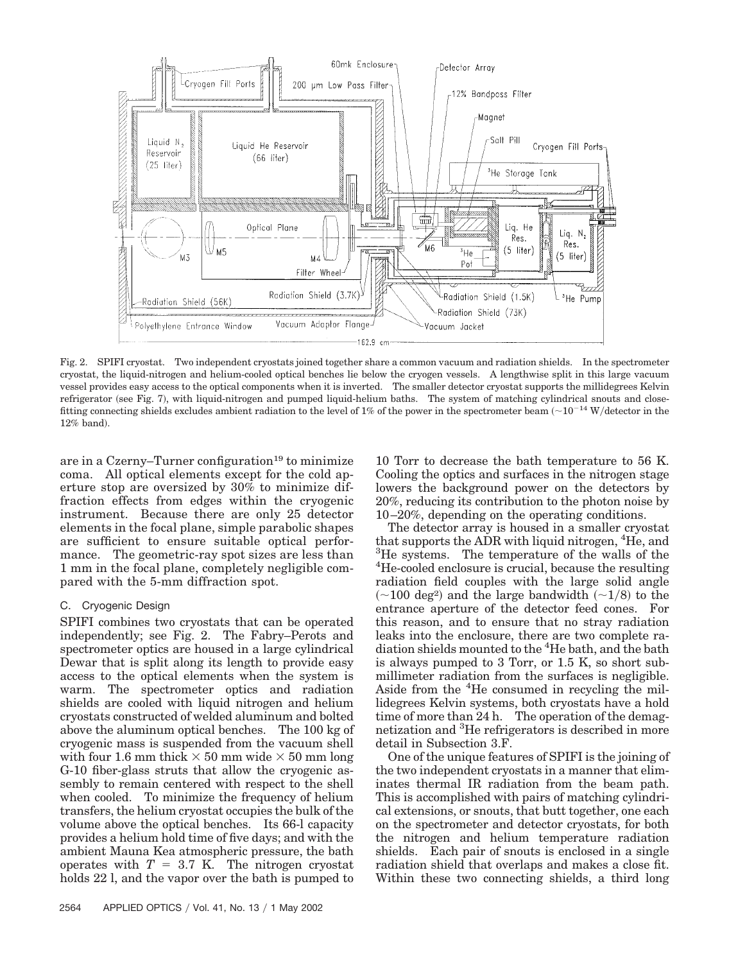

Fig. 2. SPIFI cryostat. Two independent cryostats joined together share a common vacuum and radiation shields. In the spectrometer cryostat, the liquid-nitrogen and helium-cooled optical benches lie below the cryogen vessels. A lengthwise split in this large vacuum vessel provides easy access to the optical components when it is inverted. The smaller detector cryostat supports the millidegrees Kelvin refrigerator (see Fig. 7), with liquid-nitrogen and pumped liquid-helium baths. The system of matching cylindrical snouts and closefitting connecting shields excludes ambient radiation to the level of 1% of the power in the spectrometer beam  $\sim 10^{-14}$  W/detector in the  $12\%$  band).

are in a Czerny-Turner configuration<sup>19</sup> to minimize coma. All optical elements except for the cold aperture stop are oversized by 30% to minimize diffraction effects from edges within the cryogenic instrument. Because there are only 25 detector elements in the focal plane, simple parabolic shapes are sufficient to ensure suitable optical performance. The geometric-ray spot sizes are less than 1 mm in the focal plane, completely negligible compared with the 5-mm diffraction spot.

## C. Cryogenic Design

SPIFI combines two cryostats that can be operated independently; see Fig. 2. The Fabry–Perots and spectrometer optics are housed in a large cylindrical Dewar that is split along its length to provide easy access to the optical elements when the system is warm. The spectrometer optics and radiation shields are cooled with liquid nitrogen and helium cryostats constructed of welded aluminum and bolted above the aluminum optical benches. The 100 kg of cryogenic mass is suspended from the vacuum shell with four 1.6 mm thick  $\times$  50 mm wide  $\times$  50 mm long G-10 fiber-glass struts that allow the cryogenic assembly to remain centered with respect to the shell when cooled. To minimize the frequency of helium transfers, the helium cryostat occupies the bulk of the volume above the optical benches. Its 66-l capacity provides a helium hold time of five days; and with the ambient Mauna Kea atmospheric pressure, the bath operates with  $T = 3.7$  K. The nitrogen cryostat holds 22 l, and the vapor over the bath is pumped to

10 Torr to decrease the bath temperature to 56 K. Cooling the optics and surfaces in the nitrogen stage lowers the background power on the detectors by 20%, reducing its contribution to the photon noise by 10–20%, depending on the operating conditions.

The detector array is housed in a smaller cryostat that supports the ADR with liquid nitrogen, <sup>4</sup>He, and <sup>3</sup>He systems. The temperature of the walls of the 4 He-cooled enclosure is crucial, because the resulting radiation field couples with the large solid angle  $(\sim 100 \text{ deg}^2)$  and the large bandwidth  $(\sim 1/8)$  to the entrance aperture of the detector feed cones. For this reason, and to ensure that no stray radiation leaks into the enclosure, there are two complete radiation shields mounted to the <sup>4</sup>He bath, and the bath is always pumped to 3 Torr, or 1.5 K, so short submillimeter radiation from the surfaces is negligible. Aside from the <sup>4</sup>He consumed in recycling the millidegrees Kelvin systems, both cryostats have a hold time of more than 24 h. The operation of the demagnetization and <sup>3</sup>He refrigerators is described in more detail in Subsection 3.F.

One of the unique features of SPIFI is the joining of the two independent cryostats in a manner that eliminates thermal IR radiation from the beam path. This is accomplished with pairs of matching cylindrical extensions, or snouts, that butt together, one each on the spectrometer and detector cryostats, for both the nitrogen and helium temperature radiation shields. Each pair of snouts is enclosed in a single radiation shield that overlaps and makes a close fit. Within these two connecting shields, a third long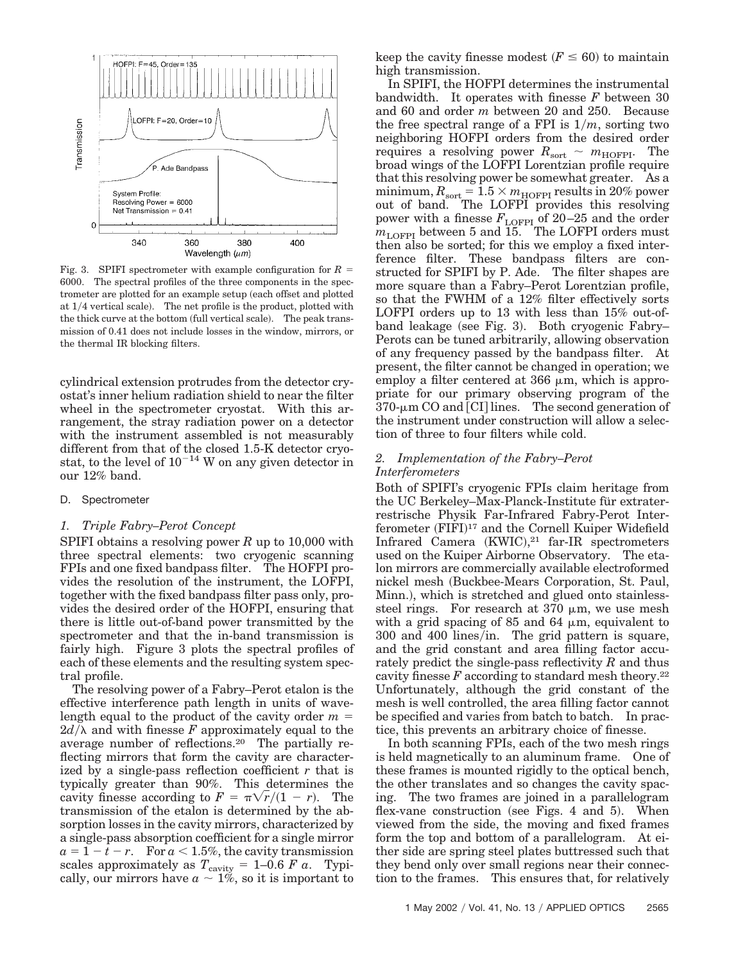

Fig. 3. SPIFI spectrometer with example configuration for  $R =$ 6000. The spectral profiles of the three components in the spectrometer are plotted for an example setup (each offset and plotted at  $1/4$  vertical scale). The net profile is the product, plotted with the thick curve at the bottom (full vertical scale). The peak transmission of 0.41 does not include losses in the window, mirrors, or the thermal IR blocking filters.

cylindrical extension protrudes from the detector cryostat's inner helium radiation shield to near the filter wheel in the spectrometer cryostat. With this arrangement, the stray radiation power on a detector with the instrument assembled is not measurably different from that of the closed 1.5-K detector cryostat, to the level of  $10^{-14}$  W on any given detector in our 12% band.

#### D. Spectrometer

## *1. Triple Fabry–Perot Concept*

SPIFI obtains a resolving power *R* up to 10,000 with three spectral elements: two cryogenic scanning FPIs and one fixed bandpass filter. The HOFPI provides the resolution of the instrument, the LOFPI, together with the fixed bandpass filter pass only, provides the desired order of the HOFPI, ensuring that there is little out-of-band power transmitted by the spectrometer and that the in-band transmission is fairly high. Figure 3 plots the spectral profiles of each of these elements and the resulting system spectral profile.

The resolving power of a Fabry–Perot etalon is the effective interference path length in units of wavelength equal to the product of the cavity order *m*  $2d/\lambda$  and with finesse *F* approximately equal to the average number of reflections.20 The partially reflecting mirrors that form the cavity are characterized by a single-pass reflection coefficient *r* that is typically greater than 90%. This determines the cavity finesse according to  $F = \pi \sqrt{r}/(1 - r)$ . The transmission of the etalon is determined by the absorption losses in the cavity mirrors, characterized by a single-pass absorption coefficient for a single mirror  $a = 1 - t - r$ . For  $a < 1.5\%$ , the cavity transmission scales approximately as  $T_{\text{cavity}} = 1-0.6 \; F \; a$ . Typically, our mirrors have  $a \sim 1\%$ , so it is important to

keep the cavity finesse modest  $(F \leq 60)$  to maintain high transmission.

In SPIFI, the HOFPI determines the instrumental bandwidth. It operates with finesse *F* between 30 and 60 and order *m* between 20 and 250. Because the free spectral range of a FPI is  $1/m$ , sorting two neighboring HOFPI orders from the desired order requires a resolving power  $R_{\text{sort}} \sim m_{\text{HOFF}}$ . The broad wings of the LOFPI Lorentzian profile require that this resolving power be somewhat greater. As a  $\text{minimum}, R_\text{sort} = 1.5 \times m_\text{HOFPI} \text{ results in 20\% power}$ out of band. The LOFPI provides this resolving power with a finesse  $F_{\text{LOFPI}}$  of 20–25 and the order  $m_{\text{LOFPI}}$  between 5 and 15. The LOFPI orders must then also be sorted; for this we employ a fixed interference filter. These bandpass filters are constructed for SPIFI by P. Ade. The filter shapes are more square than a Fabry–Perot Lorentzian profile, so that the FWHM of a 12% filter effectively sorts LOFPI orders up to 13 with less than 15% out-ofband leakage (see Fig. 3). Both cryogenic Fabry– Perots can be tuned arbitrarily, allowing observation of any frequency passed by the bandpass filter. At present, the filter cannot be changed in operation; we employ a filter centered at  $366 \mu m$ , which is appropriate for our primary observing program of the  $370$ - $\mu$ m CO and [CI] lines. The second generation of the instrument under construction will allow a selection of three to four filters while cold.

## *2. Implementation of the Fabry–Perot Interferometers*

Both of SPIFI's cryogenic FPIs claim heritage from the UC Berkeley–Max-Planck-Institute für extraterrestrische Physik Far-Infrared Fabry-Perot Interferometer (FIFI)<sup>17</sup> and the Cornell Kuiper Widefield Infrared Camera  $(KWIC),<sup>21</sup>$  far-IR spectrometers used on the Kuiper Airborne Observatory. The etalon mirrors are commercially available electroformed nickel mesh (Buckbee-Mears Corporation, St. Paul, Minn.), which is stretched and glued onto stainlesssteel rings. For research at  $370 \mu m$ , we use mesh with a grid spacing of 85 and 64  $\mu$ m, equivalent to  $300$  and  $400$  lines/in. The grid pattern is square, and the grid constant and area filling factor accurately predict the single-pass reflectivity *R* and thus cavity finesse  $F$  according to standard mesh theory.<sup>22</sup> Unfortunately, although the grid constant of the mesh is well controlled, the area filling factor cannot be specified and varies from batch to batch. In practice, this prevents an arbitrary choice of finesse.

In both scanning FPIs, each of the two mesh rings is held magnetically to an aluminum frame. One of these frames is mounted rigidly to the optical bench, the other translates and so changes the cavity spacing. The two frames are joined in a parallelogram flex-vane construction (see Figs. 4 and 5). When viewed from the side, the moving and fixed frames form the top and bottom of a parallelogram. At either side are spring steel plates buttressed such that they bend only over small regions near their connection to the frames. This ensures that, for relatively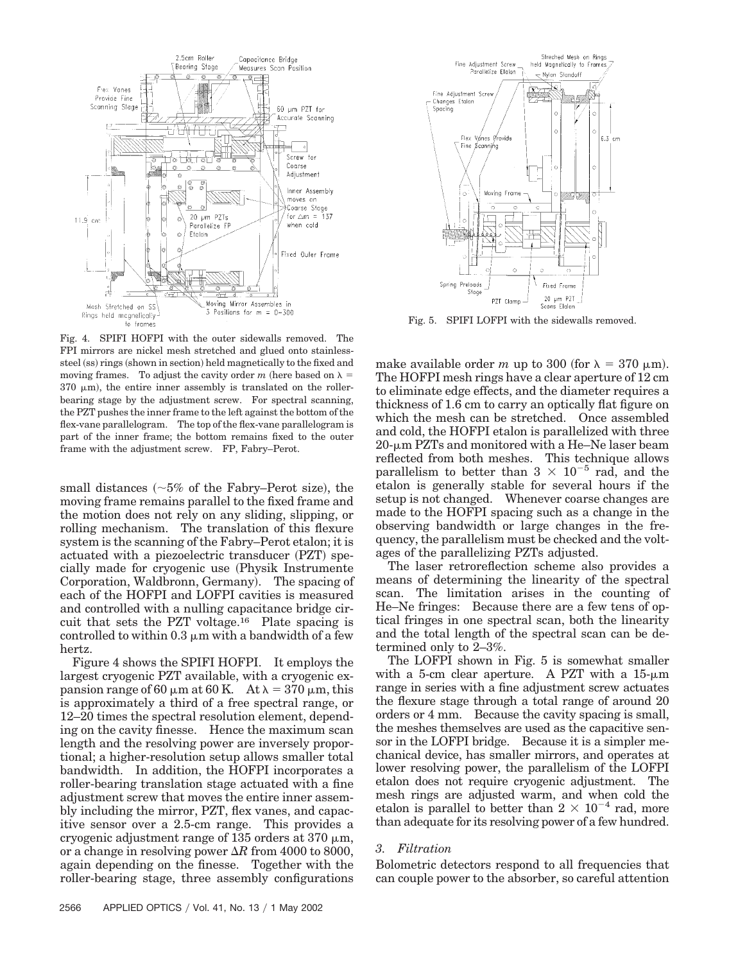

Fig. 4. SPIFI HOFPI with the outer sidewalls removed. The FPI mirrors are nickel mesh stretched and glued onto stainlesssteel (ss) rings (shown in section) held magnetically to the fixed and moving frames. To adjust the cavity order *m* (here based on  $\lambda =$  $370 \mu m$ , the entire inner assembly is translated on the rollerbearing stage by the adjustment screw. For spectral scanning, the PZT pushes the inner frame to the left against the bottom of the flex-vane parallelogram. The top of the flex-vane parallelogram is part of the inner frame; the bottom remains fixed to the outer frame with the adjustment screw. FP, Fabry–Perot.

small distances  $(~5\%$  of the Fabry–Perot size), the moving frame remains parallel to the fixed frame and the motion does not rely on any sliding, slipping, or rolling mechanism. The translation of this flexure system is the scanning of the Fabry–Perot etalon; it is actuated with a piezoelectric transducer (PZT) specially made for cryogenic use (Physik Instrumente Corporation, Waldbronn, Germany). The spacing of each of the HOFPI and LOFPI cavities is measured and controlled with a nulling capacitance bridge circuit that sets the PZT voltage.16 Plate spacing is controlled to within  $0.3 \mu m$  with a bandwidth of a few hertz.

Figure 4 shows the SPIFI HOFPI. It employs the largest cryogenic PZT available, with a cryogenic expansion range of 60  $\mu$ m at 60 K. At  $\lambda = 370 \,\mu$ m, this is approximately a third of a free spectral range, or 12–20 times the spectral resolution element, depending on the cavity finesse. Hence the maximum scan length and the resolving power are inversely proportional; a higher-resolution setup allows smaller total bandwidth. In addition, the HOFPI incorporates a roller-bearing translation stage actuated with a fine adjustment screw that moves the entire inner assembly including the mirror, PZT, flex vanes, and capacitive sensor over a 2.5-cm range. This provides a cryogenic adjustment range of 135 orders at 370  $\mu$ m, or a change in resolving power  $\Delta R$  from 4000 to 8000, again depending on the finesse. Together with the roller-bearing stage, three assembly configurations



Fig. 5. SPIFI LOFPI with the sidewalls removed.

make available order *m* up to 300 (for  $\lambda = 370 \mu m$ ). The HOFPI mesh rings have a clear aperture of 12 cm to eliminate edge effects, and the diameter requires a thickness of 1.6 cm to carry an optically flat figure on which the mesh can be stretched. Once assembled and cold, the HOFPI etalon is parallelized with three  $20$ - $\mu$ m PZTs and monitored with a He–Ne laser beam reflected from both meshes. This technique allows parallelism to better than  $3 \times 10^{-5}$  rad, and the etalon is generally stable for several hours if the setup is not changed. Whenever coarse changes are made to the HOFPI spacing such as a change in the observing bandwidth or large changes in the frequency, the parallelism must be checked and the voltages of the parallelizing PZTs adjusted.

The laser retroreflection scheme also provides a means of determining the linearity of the spectral scan. The limitation arises in the counting of He–Ne fringes: Because there are a few tens of optical fringes in one spectral scan, both the linearity and the total length of the spectral scan can be determined only to 2–3%.

The LOFPI shown in Fig. 5 is somewhat smaller with a 5-cm clear aperture. A PZT with a  $15-\mu m$ range in series with a fine adjustment screw actuates the flexure stage through a total range of around 20 orders or 4 mm. Because the cavity spacing is small, the meshes themselves are used as the capacitive sensor in the LOFPI bridge. Because it is a simpler mechanical device, has smaller mirrors, and operates at lower resolving power, the parallelism of the LOFPI etalon does not require cryogenic adjustment. The mesh rings are adjusted warm, and when cold the etalon is parallel to better than  $2 \times 10^{-4}$  rad, more than adequate for its resolving power of a few hundred.

## *3. Filtration*

Bolometric detectors respond to all frequencies that can couple power to the absorber, so careful attention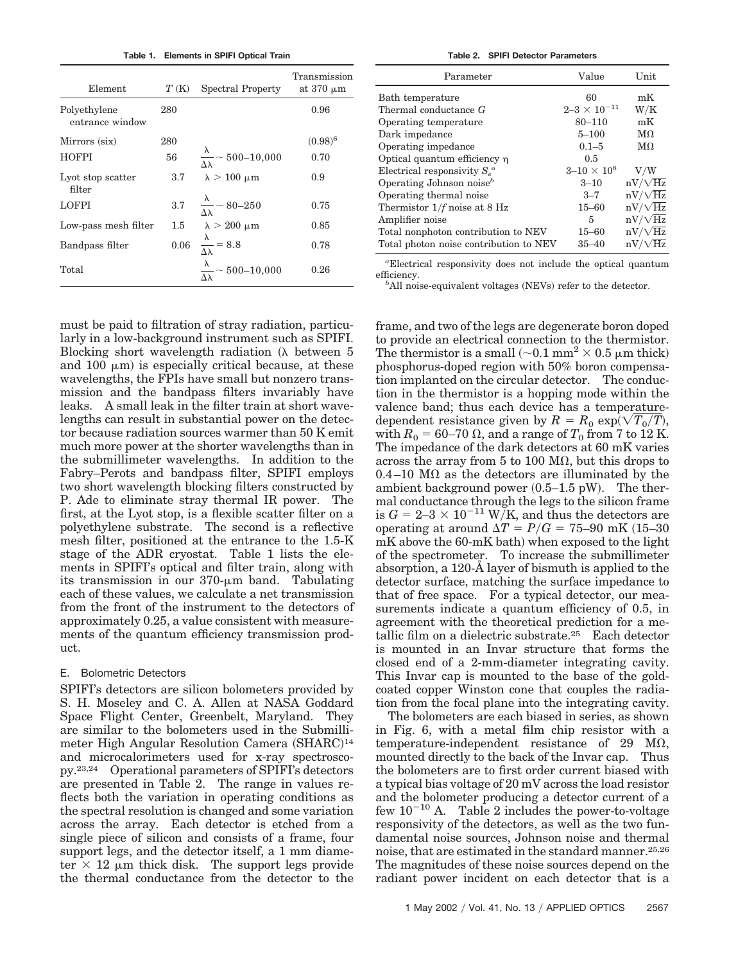**Table 1. Elements in SPIFI Optical Train**

| Element                         | T(K) | Spectral Property                                 | Transmission<br>at $370 \mu m$ |
|---------------------------------|------|---------------------------------------------------|--------------------------------|
| Polyethylene<br>entrance window | 280  |                                                   | 0.96                           |
| Mirrors (six)                   | 280  |                                                   | $(0.98)^6$                     |
| <b>HOFPI</b>                    | 56   | $\frac{\lambda}{\Delta\lambda} \sim 500 - 10,000$ | 0.70                           |
| Lyot stop scatter<br>filter     | 3.7  | $\lambda > 100 \mu m$                             | 0.9                            |
| <b>LOFPI</b>                    |      | 3.7 $\frac{\lambda}{\Delta\lambda} \sim 80 - 250$ | 0.75                           |
| Low-pass mesh filter            |      | 1.5 $\lambda > 200 \mu m$                         | 0.85                           |
| Bandpass filter                 |      | $0.06 \frac{\lambda}{\Delta \lambda} = 8.8$       | 0.78                           |
| Total                           |      | $\frac{\lambda}{\Delta\lambda} \sim 500 - 10,000$ | 0.26                           |

must be paid to filtration of stray radiation, particularly in a low-background instrument such as SPIFI. Blocking short wavelength radiation  $(\lambda)$  between 5 and 100  $\mu$ m) is especially critical because, at these wavelengths, the FPIs have small but nonzero transmission and the bandpass filters invariably have leaks. A small leak in the filter train at short wavelengths can result in substantial power on the detector because radiation sources warmer than 50 K emit much more power at the shorter wavelengths than in the submillimeter wavelengths. In addition to the Fabry–Perots and bandpass filter, SPIFI employs two short wavelength blocking filters constructed by P. Ade to eliminate stray thermal IR power. The first, at the Lyot stop, is a flexible scatter filter on a polyethylene substrate. The second is a reflective mesh filter, positioned at the entrance to the 1.5-K stage of the ADR cryostat. Table 1 lists the elements in SPIFI's optical and filter train, along with its transmission in our 370-um band. Tabulating each of these values, we calculate a net transmission from the front of the instrument to the detectors of approximately 0.25, a value consistent with measurements of the quantum efficiency transmission product.

## E. Bolometric Detectors

SPIFI's detectors are silicon bolometers provided by S. H. Moseley and C. A. Allen at NASA Goddard Space Flight Center, Greenbelt, Maryland. They are similar to the bolometers used in the Submillimeter High Angular Resolution Camera (SHARC)<sup>14</sup> and microcalorimeters used for x-ray spectroscopy.23,24 Operational parameters of SPIFI's detectors are presented in Table 2. The range in values reflects both the variation in operating conditions as the spectral resolution is changed and some variation across the array. Each detector is etched from a single piece of silicon and consists of a frame, four support legs, and the detector itself, a 1 mm diameter  $\times$  12  $\mu$ m thick disk. The support legs provide the thermal conductance from the detector to the

**Table 2. SPIFI Detector Parameters**

| Parameter                                  | Value                   | Unit           |
|--------------------------------------------|-------------------------|----------------|
| Bath temperature                           | 60                      | mK             |
| Thermal conductance G                      | $2 - 3 \times 10^{-11}$ | $\mathrm{W/K}$ |
| Operating temperature                      | 80-110                  | mK             |
| Dark impedance                             | $5 - 100$               | $M\Omega$      |
| Operating impedance                        | $0.1 - 5$               | $M\Omega$      |
| Optical quantum efficiency $\eta$          | 0.5                     |                |
| Electrical responsivity $S_{\alpha}^{\ a}$ | $3 - 10 \times 10^8$    | V/W            |
| Operating Johnson noise <sup>b</sup>       | $3 - 10$                | $nV/\sqrt{Hz}$ |
| Operating thermal noise                    | $3 - 7$                 | $nV/\sqrt{Hz}$ |
| Thermistor $1/f$ noise at 8 Hz             | $15 - 60$               | $nV/\sqrt{Hz}$ |
| Amplifier noise                            | 5                       | $nV/\sqrt{Hz}$ |
| Total nonphoton contribution to NEV        | $15 - 60$               | $nV/\sqrt{Hz}$ |
| Total photon noise contribution to NEV     | $35 - 40$               | $nV/\sqrt{Hz}$ |

*a* Electrical responsivity does not include the optical quantum efficiency.

<sup>b</sup>All noise-equivalent voltages (NEVs) refer to the detector.

frame, and two of the legs are degenerate boron doped to provide an electrical connection to the thermistor. The thermistor is a small  $(-0.1 \text{ mm}^2 \times 0.5 \text{ }\mu\text{m}$  thick) phosphorus-doped region with 50% boron compensation implanted on the circular detector. The conduction in the thermistor is a hopping mode within the valence band; thus each device has a temperaturedependent resistance given by  $R = R_0 \exp(\sqrt{T_0/T})$ , with  $R_0 = 60$ –70  $\Omega$ , and a range of  $T_0$  from 7 to 12 K. The impedance of the dark detectors at 60 mK varies across the array from 5 to 100 M $\Omega$ , but this drops to  $0.4-10$  M $\Omega$  as the detectors are illuminated by the ambient background power  $(0.5-1.5 \text{ pW})$ . The thermal conductance through the legs to the silicon frame is  $G = 2-3 \times 10^{-11}$  W/K, and thus the detectors are operating at around  $\Delta T = P/G = 75{\text -}90$  mK (15–30)  $mK$  above the 60-mK bath) when exposed to the light of the spectrometer. To increase the submillimeter absorption, a 120-Å layer of bismuth is applied to the detector surface, matching the surface impedance to that of free space. For a typical detector, our measurements indicate a quantum efficiency of 0.5, in agreement with the theoretical prediction for a metallic film on a dielectric substrate.25 Each detector is mounted in an Invar structure that forms the closed end of a 2-mm-diameter integrating cavity. This Invar cap is mounted to the base of the goldcoated copper Winston cone that couples the radiation from the focal plane into the integrating cavity.

The bolometers are each biased in series, as shown in Fig. 6, with a metal film chip resistor with a temperature-independent resistance of 29 M $\Omega$ , mounted directly to the back of the Invar cap. Thus the bolometers are to first order current biased with a typical bias voltage of 20 mV across the load resistor and the bolometer producing a detector current of a few  $10^{-10}$  A. Table 2 includes the power-to-voltage responsivity of the detectors, as well as the two fundamental noise sources, Johnson noise and thermal noise, that are estimated in the standard manner.25,26 The magnitudes of these noise sources depend on the radiant power incident on each detector that is a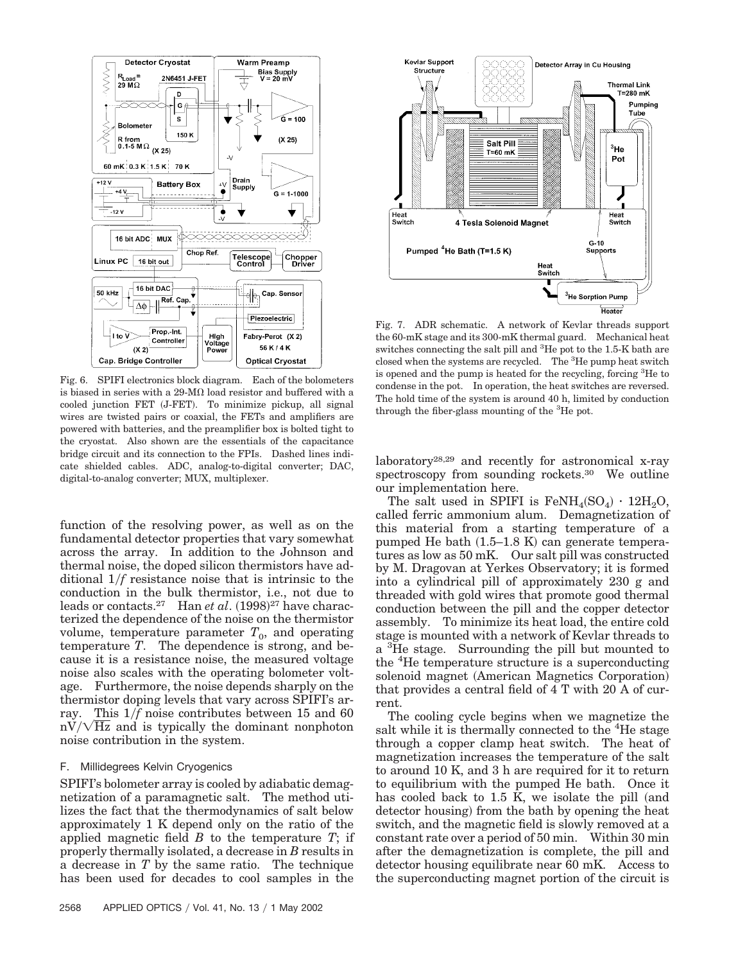

Fig. 6. SPIFI electronics block diagram. Each of the bolometers is biased in series with a 29-M $\Omega$  load resistor and buffered with a cooled junction FET (J-FET). To minimize pickup, all signal wires are twisted pairs or coaxial, the FETs and amplifiers are powered with batteries, and the preamplifier box is bolted tight to the cryostat. Also shown are the essentials of the capacitance bridge circuit and its connection to the FPIs. Dashed lines indicate shielded cables. ADC, analog-to-digital converter; DAC, digital-to-analog converter; MUX, multiplexer.

function of the resolving power, as well as on the fundamental detector properties that vary somewhat across the array. In addition to the Johnson and thermal noise, the doped silicon thermistors have additional 1*f* resistance noise that is intrinsic to the conduction in the bulk thermistor, i.e., not due to leads or contacts.<sup>27</sup> Han *et al.* (1998)<sup>27</sup> have characterized the dependence of the noise on the thermistor volume, temperature parameter  $T_0$ , and operating temperature *T*. The dependence is strong, and because it is a resistance noise, the measured voltage noise also scales with the operating bolometer voltage. Furthermore, the noise depends sharply on the thermistor doping levels that vary across SPIFI's array. This 1*f* noise contributes between 15 and 60  $\text{mV}/\sqrt{\text{Hz}}$  and is typically the dominant nonphoton noise contribution in the system.

# F. Millidegrees Kelvin Cryogenics

SPIFI's bolometer array is cooled by adiabatic demagnetization of a paramagnetic salt. The method utilizes the fact that the thermodynamics of salt below approximately 1 K depend only on the ratio of the applied magnetic field *B* to the temperature *T*; if properly thermally isolated, a decrease in *B* results in a decrease in *T* by the same ratio. The technique has been used for decades to cool samples in the



Fig. 7. ADR schematic. A network of Kevlar threads support the 60-mK stage and its 300-mK thermal guard. Mechanical heat switches connecting the salt pill and <sup>3</sup>He pot to the 1.5-K bath are closed when the systems are recycled. The <sup>3</sup>He pump heat switch is opened and the pump is heated for the recycling, forcing <sup>3</sup>He to condense in the pot. In operation, the heat switches are reversed. The hold time of the system is around 40 h, limited by conduction through the fiber-glass mounting of the <sup>3</sup>He pot.

laboratory28,29 and recently for astronomical x-ray spectroscopy from sounding rockets.<sup>30</sup> We outline our implementation here.

The salt used in SPIFI is  $\text{FeNH}_4(\text{SO}_4) \cdot 12\text{H}_2\text{O}$ , called ferric ammonium alum. Demagnetization of this material from a starting temperature of a pumped He bath  $(1.5-1.8 \text{ K})$  can generate temperatures as low as 50 mK. Our salt pill was constructed by M. Dragovan at Yerkes Observatory; it is formed into a cylindrical pill of approximately 230 g and threaded with gold wires that promote good thermal conduction between the pill and the copper detector assembly. To minimize its heat load, the entire cold stage is mounted with a network of Kevlar threads to a <sup>3</sup>He stage. Surrounding the pill but mounted to the <sup>4</sup>He temperature structure is a superconducting solenoid magnet (American Magnetics Corporation) that provides a central field of 4 T with 20 A of current.

The cooling cycle begins when we magnetize the salt while it is thermally connected to the <sup>4</sup>He stage through a copper clamp heat switch. The heat of magnetization increases the temperature of the salt to around 10 K, and 3 h are required for it to return to equilibrium with the pumped He bath. Once it has cooled back to  $1.5$  K, we isolate the pill (and detector housing) from the bath by opening the heat switch, and the magnetic field is slowly removed at a constant rate over a period of 50 min. Within 30 min after the demagnetization is complete, the pill and detector housing equilibrate near 60 mK. Access to the superconducting magnet portion of the circuit is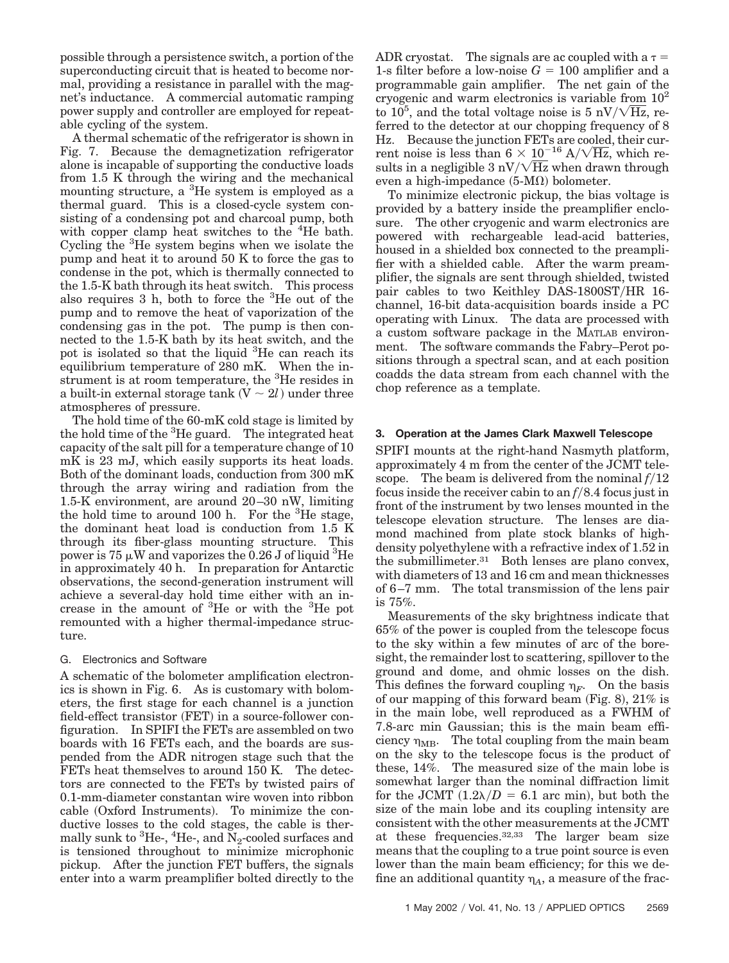possible through a persistence switch, a portion of the superconducting circuit that is heated to become normal, providing a resistance in parallel with the magnet's inductance. A commercial automatic ramping power supply and controller are employed for repeatable cycling of the system.

A thermal schematic of the refrigerator is shown in Fig. 7. Because the demagnetization refrigerator alone is incapable of supporting the conductive loads from 1.5 K through the wiring and the mechanical mounting structure, a <sup>3</sup>He system is employed as a thermal guard. This is a closed-cycle system consisting of a condensing pot and charcoal pump, both with copper clamp heat switches to the <sup>4</sup>He bath. Cycling the <sup>3</sup>He system begins when we isolate the pump and heat it to around 50 K to force the gas to condense in the pot, which is thermally connected to the 1.5-K bath through its heat switch. This process also requires 3 h, both to force the <sup>3</sup> He out of the pump and to remove the heat of vaporization of the condensing gas in the pot. The pump is then connected to the 1.5-K bath by its heat switch, and the pot is isolated so that the liquid <sup>3</sup>He can reach its equilibrium temperature of 280 mK. When the instrument is at room temperature, the <sup>3</sup>He resides in a built-in external storage  $\tanh(V \sim 2l)$  under three atmospheres of pressure.

The hold time of the 60-mK cold stage is limited by the hold time of the  ${}^{3}$ He guard. The integrated heat capacity of the salt pill for a temperature change of 10 mK is 23 mJ, which easily supports its heat loads. Both of the dominant loads, conduction from 300 mK through the array wiring and radiation from the 1.5-K environment, are around 20–30 nW, limiting the hold time to around 100 h. For the  ${}^{3}$ He stage, the dominant heat load is conduction from 1.5 K through its fiber-glass mounting structure. This power is 75  $\mu$ W and vaporizes the 0.26 J of liquid <sup>3</sup>He in approximately 40 h. In preparation for Antarctic observations, the second-generation instrument will achieve a several-day hold time either with an increase in the amount of <sup>3</sup>He or with the <sup>3</sup>He pot remounted with a higher thermal-impedance structure.

# G. Electronics and Software

A schematic of the bolometer amplification electronics is shown in Fig. 6. As is customary with bolometers, the first stage for each channel is a junction field-effect transistor (FET) in a source-follower configuration. In SPIFI the FETs are assembled on two boards with 16 FETs each, and the boards are suspended from the ADR nitrogen stage such that the FETs heat themselves to around 150 K. The detectors are connected to the FETs by twisted pairs of 0.1-mm-diameter constantan wire woven into ribbon cable (Oxford Instruments). To minimize the conductive losses to the cold stages, the cable is thermally sunk to <sup>3</sup>He-, <sup>4</sup>He-, and  $\rm \widetilde{N}_2$ -cooled surfaces and is tensioned throughout to minimize microphonic pickup. After the junction FET buffers, the signals enter into a warm preamplifier bolted directly to the ADR cryostat. The signals are ac coupled with a  $\tau =$ 1-s filter before a low-noise  $G = 100$  amplifier and a programmable gain amplifier. The net gain of the cryogenic and warm electronics is variable from  $10<sup>2</sup>$ to  $10^5$ , and the total voltage noise is 5 nV/ $\sqrt{\text{Hz}}$ , referred to the detector at our chopping frequency of 8 Hz. Because the junction FETs are cooled, their current noise is less than  $6 \times 10^{-16}$  A/ $\sqrt{\text{Hz}}$ , which results in a negligible  $3 \text{ nV} / \sqrt{\text{Hz}}$  when drawn through even a high-impedance  $(5-M<sub>\Omega</sub>)$  bolometer.

To minimize electronic pickup, the bias voltage is provided by a battery inside the preamplifier enclosure. The other cryogenic and warm electronics are powered with rechargeable lead-acid batteries, housed in a shielded box connected to the preamplifier with a shielded cable. After the warm preamplifier, the signals are sent through shielded, twisted pair cables to two Keithley DAS-1800ST/HR 16channel, 16-bit data-acquisition boards inside a PC operating with Linux. The data are processed with a custom software package in the MATLAB environment. The software commands the Fabry–Perot positions through a spectral scan, and at each position coadds the data stream from each channel with the chop reference as a template.

## **3. Operation at the James Clark Maxwell Telescope**

SPIFI mounts at the right-hand Nasmyth platform, approximately 4 m from the center of the JCMT telescope. The beam is delivered from the nominal  $f/12$ focus inside the receiver cabin to an  $f/8.4$  focus just in front of the instrument by two lenses mounted in the telescope elevation structure. The lenses are diamond machined from plate stock blanks of highdensity polyethylene with a refractive index of 1.52 in the submillimeter.31 Both lenses are plano convex, with diameters of 13 and 16 cm and mean thicknesses of 6–7 mm. The total transmission of the lens pair is 75%.

Measurements of the sky brightness indicate that 65% of the power is coupled from the telescope focus to the sky within a few minutes of arc of the boresight, the remainder lost to scattering, spillover to the ground and dome, and ohmic losses on the dish. This defines the forward coupling  $\eta_F$ . On the basis of our mapping of this forward beam (Fig. 8),  $21\%$  is in the main lobe, well reproduced as a FWHM of 7.8-arc min Gaussian; this is the main beam efficiency  $\eta_{MB}$ . The total coupling from the main beam on the sky to the telescope focus is the product of these, 14%. The measured size of the main lobe is somewhat larger than the nominal diffraction limit for the JCMT  $(1.2\lambda/D = 6.1$  arc min), but both the size of the main lobe and its coupling intensity are consistent with the other measurements at the JCMT at these frequencies.32,33 The larger beam size means that the coupling to a true point source is even lower than the main beam efficiency; for this we define an additional quantity  $\eta_A$ , a measure of the frac-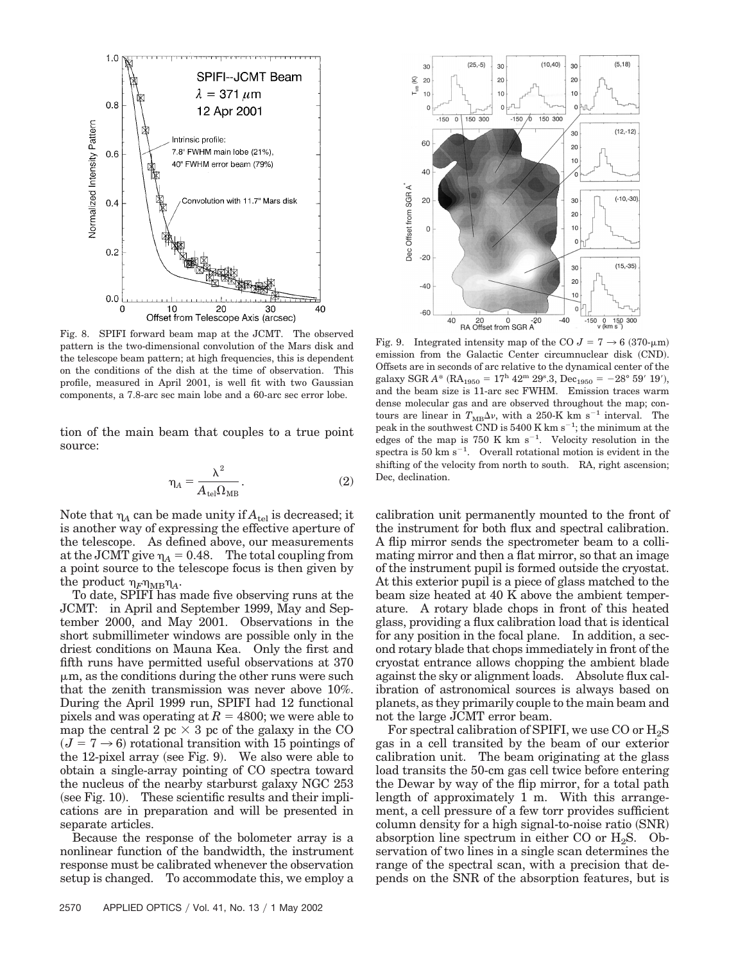

Fig. 8. SPIFI forward beam map at the JCMT. The observed pattern is the two-dimensional convolution of the Mars disk and the telescope beam pattern; at high frequencies, this is dependent on the conditions of the dish at the time of observation. This profile, measured in April 2001, is well fit with two Gaussian components, a 7.8-arc sec main lobe and a 60-arc sec error lobe.

tion of the main beam that couples to a true point source:

$$
\eta_A = \frac{\lambda^2}{A_{\text{tel}} \Omega_{\text{MB}}}.
$$
 (2)

Note that  $\eta_A$  can be made unity if  $A_{tel}$  is decreased; it is another way of expressing the effective aperture of the telescope. As defined above, our measurements at the JCMT give  $\eta_A = 0.48$ . The total coupling from a point source to the telescope focus is then given by the product  $\eta_F \eta_{MB} \eta_A$ .

To date, SPIFI has made five observing runs at the JCMT: in April and September 1999, May and September 2000, and May 2001. Observations in the short submillimeter windows are possible only in the driest conditions on Mauna Kea. Only the first and fifth runs have permitted useful observations at 370  $\mu$ m, as the conditions during the other runs were such that the zenith transmission was never above 10%. During the April 1999 run, SPIFI had 12 functional pixels and was operating at  $R = 4800$ ; we were able to map the central 2 pc  $\times$  3 pc of the galaxy in the CO  $(J = 7 \rightarrow 6)$  rotational transition with 15 pointings of the 12-pixel array (see Fig. 9). We also were able to obtain a single-array pointing of CO spectra toward the nucleus of the nearby starburst galaxy NGC 253 (see Fig. 10). These scientific results and their implications are in preparation and will be presented in separate articles.

Because the response of the bolometer array is a nonlinear function of the bandwidth, the instrument response must be calibrated whenever the observation setup is changed. To accommodate this, we employ a



Fig. 9. Integrated intensity map of the CO  $J = 7 \rightarrow 6 (370 \text{-} \mu \text{m})$ emission from the Galactic Center circumnuclear disk (CND). Offsets are in seconds of arc relative to the dynamical center of the galaxy SGR  $A^*$  (RA<sub>1950</sub> = 17<sup>h</sup> 42<sup>m</sup> 29<sup>s</sup>.3, Dec<sub>1950</sub> = -28° 59′ 19′), and the beam size is 11-arc sec FWHM. Emission traces warm dense molecular gas and are observed throughout the map; contours are linear in  $T_{\text{MB}}\Delta v$ , with a 250-K km s<sup>-1</sup> interval. The peak in the southwest CND is 5400 K km  $s^{-1}$ ; the minimum at the edges of the map is  $750 \text{ K km s}^{-1}$ . Velocity resolution in the spectra is  $50 \text{ km s}^{-1}$ . Overall rotational motion is evident in the shifting of the velocity from north to south. RA, right ascension; Dec, declination.

calibration unit permanently mounted to the front of the instrument for both flux and spectral calibration. A flip mirror sends the spectrometer beam to a collimating mirror and then a flat mirror, so that an image of the instrument pupil is formed outside the cryostat. At this exterior pupil is a piece of glass matched to the beam size heated at 40 K above the ambient temperature. A rotary blade chops in front of this heated glass, providing a flux calibration load that is identical for any position in the focal plane. In addition, a second rotary blade that chops immediately in front of the cryostat entrance allows chopping the ambient blade against the sky or alignment loads. Absolute flux calibration of astronomical sources is always based on planets, as they primarily couple to the main beam and not the large JCMT error beam.

For spectral calibration of SPIFI, we use CO or  $H_2S$ gas in a cell transited by the beam of our exterior calibration unit. The beam originating at the glass load transits the 50-cm gas cell twice before entering the Dewar by way of the flip mirror, for a total path length of approximately 1 m. With this arrangement, a cell pressure of a few torr provides sufficient column density for a high signal-to-noise ratio (SNR) absorption line spectrum in either CO or  $H_2S$ . Observation of two lines in a single scan determines the range of the spectral scan, with a precision that depends on the SNR of the absorption features, but is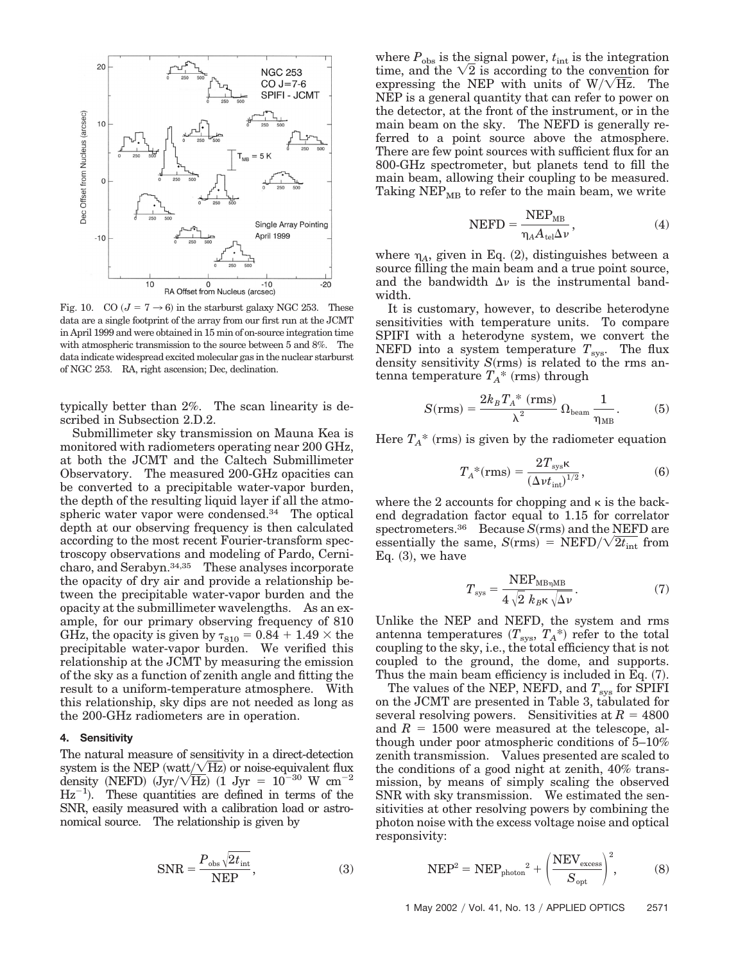

Fig. 10. CO  $(J = 7 \rightarrow 6)$  in the starburst galaxy NGC 253. These data are a single footprint of the array from our first run at the JCMT in April 1999 and were obtained in 15 min of on-source integration time with atmospheric transmission to the source between 5 and 8%. The data indicate widespread excited molecular gas in the nuclear starburst of NGC 253. RA, right ascension; Dec, declination.

typically better than 2%. The scan linearity is described in Subsection 2.D.2.

Submillimeter sky transmission on Mauna Kea is monitored with radiometers operating near 200 GHz, at both the JCMT and the Caltech Submillimeter Observatory. The measured 200-GHz opacities can be converted to a precipitable water-vapor burden, the depth of the resulting liquid layer if all the atmospheric water vapor were condensed.34 The optical depth at our observing frequency is then calculated according to the most recent Fourier-transform spectroscopy observations and modeling of Pardo, Cernicharo, and Serabyn.34,35 These analyses incorporate the opacity of dry air and provide a relationship between the precipitable water-vapor burden and the opacity at the submillimeter wavelengths. As an example, for our primary observing frequency of 810 GHz, the opacity is given by  $\tau_{810} = 0.84 + 1.49 \times$  the precipitable water-vapor burden. We verified this relationship at the JCMT by measuring the emission of the sky as a function of zenith angle and fitting the result to a uniform-temperature atmosphere. With this relationship, sky dips are not needed as long as the 200-GHz radiometers are in operation.

## **4. Sensitivity**

The natural measure of sensitivity in a direct-detection system is the NEP (watt/ $\sqrt{Hz}$ ) or noise-equivalent flux density (NEFD)  $(Jyr/\sqrt{\text{Hz}})$  (1 Jyr =  $10^{-30}$  W cm<sup>-2</sup>  $Hz^{-1}$ ). These quantities are defined in terms of the SNR, easily measured with a calibration load or astronomical source. The relationship is given by

$$
SNR = \frac{P_{\text{obs}}\sqrt{2t_{\text{int}}}}{NEP},\tag{3}
$$

where  $P_{\text{obs}}$  is the signal power,  $t_{\text{int}}$  is the integration time, and the  $\sqrt{2}$  is according to the convention for expressing the NEP with units of  $W/\sqrt{Hz}$ . The NEP is a general quantity that can refer to power on the detector, at the front of the instrument, or in the main beam on the sky. The NEFD is generally referred to a point source above the atmosphere. There are few point sources with sufficient flux for an 800-GHz spectrometer, but planets tend to fill the main beam, allowing their coupling to be measured. Taking  $NEP_{MB}$  to refer to the main beam, we write

$$
NEFD = \frac{NEP_{MB}}{\eta_A A_{\text{tel}} \Delta \nu},\tag{4}
$$

where  $\eta_A$ , given in Eq.  $(2)$ , distinguishes between a source filling the main beam and a true point source, and the bandwidth  $\Delta v$  is the instrumental bandwidth.

It is customary, however, to describe heterodyne sensitivities with temperature units. To compare SPIFI with a heterodyne system, we convert the NEFD into a system temperature  $T_{\text{sys}}$ . The flux density sensitivity  $S(rms)$  is related to the rms antenna temperature  $T_A^*$  (rms) through

$$
S(rms) = \frac{2k_B T_A^* (rms)}{\lambda^2} \Omega_{\text{beam}} \frac{1}{\eta_{\text{MB}}}.
$$
 (5)

Here  $T_A^*$  (rms) is given by the radiometer equation

$$
T_A^*({\rm rms}) = \frac{2T_{\rm sys} \kappa}{\left(\Delta v t_{\rm int}\right)^{1/2}},\tag{6}
$$

where the 2 accounts for chopping and  $\kappa$  is the backend degradation factor equal to 1.15 for correlator spectrometers.<sup>36</sup> Because *S*(rms) and the NEFD are essentially the same,  $S(rms) = NEFD/\sqrt{2t_{int}}$  from Eq.  $(3)$ , we have

$$
T_{\rm sys} = \frac{\rm NEP_{MB\eta MB}}{4\sqrt{2} \ k_{B} \kappa \sqrt{\Delta \nu}}.
$$
 (7)

Unlike the NEP and NEFD, the system and rms antenna temperatures  $(T_{\text{sys}}, T_A^*)$  refer to the total coupling to the sky, i.e., the total efficiency that is not coupled to the ground, the dome, and supports. Thus the main beam efficiency is included in Eq.  $(7)$ .

The values of the NEP, NEFD, and  $T_{sys}$  for SPIFI on the JCMT are presented in Table 3, tabulated for several resolving powers. Sensitivities at  $R = 4800$ and  $R = 1500$  were measured at the telescope, although under poor atmospheric conditions of 5–10% zenith transmission. Values presented are scaled to the conditions of a good night at zenith, 40% transmission, by means of simply scaling the observed SNR with sky transmission. We estimated the sensitivities at other resolving powers by combining the photon noise with the excess voltage noise and optical responsivity:

$$
NEP2 = NEPphoton2 + \left(\frac{NEVexcess}{Sopt}\right)2, \t(8)
$$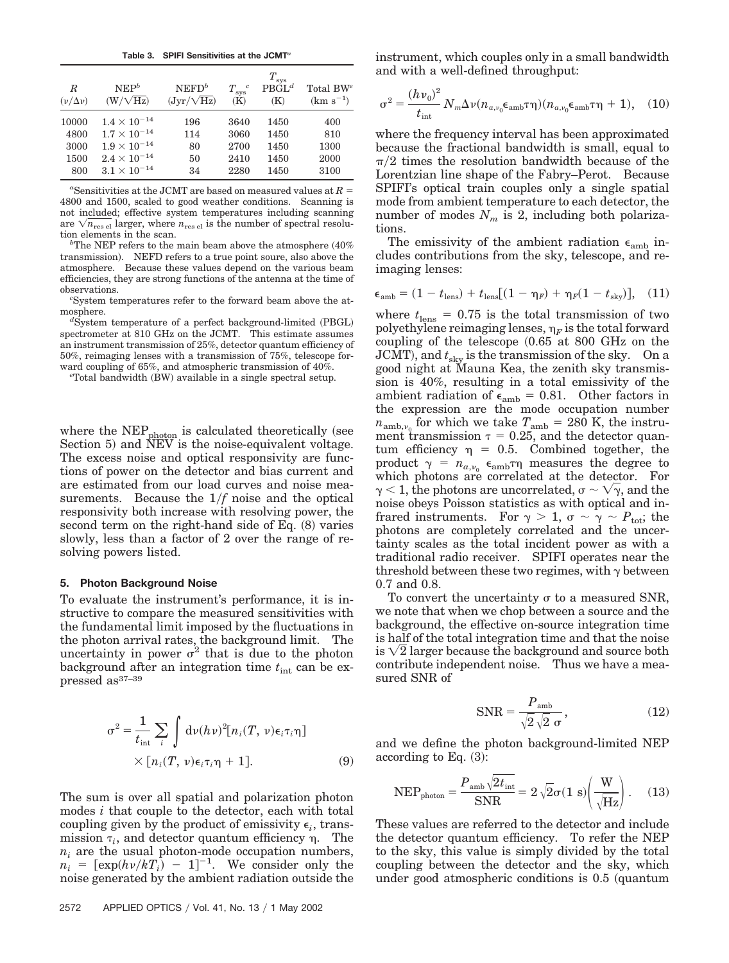**Table 3. SPIFI Sensitivities at the JCMT***<sup>a</sup>*

| R<br>$(\nu/\Delta \nu)$ | NEP <sup>b</sup><br>$(W/\sqrt{Hz})$ | $NEFD^b$<br>$(Jyr/\sqrt{\text{Hz}})$ | $T_{\rm sys}^{\quad c}$<br>(K) | $T_{\rm sys}$<br>$\text{PBGL}^d$<br>(K) | Total $BW^e$<br>$(km s^{-1})$ |
|-------------------------|-------------------------------------|--------------------------------------|--------------------------------|-----------------------------------------|-------------------------------|
| 10000                   | $1.4 \times 10^{-14}$               | 196                                  | 3640                           | 1450                                    | 400                           |
| 4800                    | $1.7 \times 10^{-14}$               | 114                                  | 3060                           | 1450                                    | 810                           |
| 3000                    | $1.9 \times 10^{-14}$               | 80                                   | 2700                           | 1450                                    | 1300                          |
| 1500                    | $2.4 \times 10^{-14}$               | 50                                   | 2410                           | 1450                                    | 2000                          |
| 800                     | $3.1 \times 10^{-14}$               | 34                                   | 2280                           | 1450                                    | 3100                          |

<sup>a</sup>Sensitivities at the JCMT are based on measured values at  $R =$ 4800 and 1500, scaled to good weather conditions. Scanning is not included; effective system temperatures including scanning are  $\sqrt{n_{\rm res\;el}}$  larger, where  $n_{\rm res\;el}$  is the number of spectral resolution elements in the scan. *<sup>b</sup>*

<sup>b</sup>The NEP refers to the main beam above the atmosphere  $(40\%$ transmission). NEFD refers to a true point soure, also above the atmosphere. Because these values depend on the various beam efficiencies, they are strong functions of the antenna at the time of observations. *<sup>c</sup>*

System temperatures refer to the forward beam above the atmosphere.

System temperature of a perfect background-limited (PBGL) spectrometer at 810 GHz on the JCMT. This estimate assumes an instrument transmission of 25%, detector quantum efficiency of 50%, reimaging lenses with a transmission of 75%, telescope forward coupling of 65%, and atmospheric transmission of 40%.

Total bandwidth (BW) available in a single spectral setup.

where the  $NEP_{photon}$  is calculated theoretically (see Section 5) and NEV is the noise-equivalent voltage. The excess noise and optical responsivity are functions of power on the detector and bias current and are estimated from our load curves and noise measurements. Because the 1*f* noise and the optical responsivity both increase with resolving power, the second term on the right-hand side of Eq.  $(8)$  varies slowly, less than a factor of 2 over the range of resolving powers listed.

#### **5. Photon Background Noise**

To evaluate the instrument's performance, it is instructive to compare the measured sensitivities with the fundamental limit imposed by the fluctuations in the photon arrival rates, the background limit. The uncertainty in power  $\sigma^2$  that is due to the photon background after an integration time  $t_{\text{int}}$  can be expressed as37–39

$$
\sigma^{2} = \frac{1}{t_{\text{int}}} \sum_{i} \int d\nu(h\nu)^{2} [n_{i}(T, \nu)\epsilon_{i}\tau_{i}\eta]
$$

$$
\times [n_{i}(T, \nu)\epsilon_{i}\tau_{i}\eta + 1]. \tag{9}
$$

The sum is over all spatial and polarization photon modes *i* that couple to the detector, each with total coupling given by the product of emissivity  $\epsilon_i$ , transmission  $\tau_i$ , and detector quantum efficiency  $\eta$ . The  $n_i$  are the usual photon-mode occupation numbers,  $n_i = [\exp(h\nu/kT_i] - 1]^{-1}$ . We consider only the noise generated by the ambient radiation outside the instrument, which couples only in a small bandwidth and with a well-defined throughput:

$$
\sigma^2 = \frac{(h\nu_0)^2}{t_{\text{int}}} N_m \Delta \nu (n_{a,\nu_0} \epsilon_{\text{amb}} \tau \eta) (n_{a,\nu_0} \epsilon_{\text{amb}} \tau \eta + 1), \quad (10)
$$

where the frequency interval has been approximated because the fractional bandwidth is small, equal to  $\pi/2$  times the resolution bandwidth because of the Lorentzian line shape of the Fabry–Perot. Because SPIFI's optical train couples only a single spatial mode from ambient temperature to each detector, the number of modes  $N_m$  is 2, including both polarizations.

The emissivity of the ambient radiation  $\epsilon_{\rm amb}$  includes contributions from the sky, telescope, and reimaging lenses:

$$
\epsilon_{\rm amb} = (1 - t_{\rm lens}) + t_{\rm lens}[(1 - \eta_F) + \eta_F(1 - t_{\rm sky})], (11)
$$

where  $t_{\text{lens}} = 0.75$  is the total transmission of two polyethylene reimaging lenses,  $\eta_F$  is the total forward coupling of the telescope  $(0.65$  at 800 GHz on the  $JCMT$ ), and  $t_{\rm sky}$  is the transmission of the sky. On a good night at Mauna Kea, the zenith sky transmission is 40%, resulting in a total emissivity of the ambient radiation of  $\epsilon_{\rm amb} = 0.81$ . Other factors in the expression are the mode occupation number  $n_{\text{amb},v_0}$  for which we take  $T_{\text{amb}} = 280$  K, the instrument transmission  $\tau = 0.25$ , and the detector quantum efficiency  $\eta = 0.5$ . Combined together, the product  $\gamma = n_{a,\nu_0} \epsilon_{\text{amb}} \tau \eta$  measures the degree to which photons are correlated at the detector. For  $\gamma$  < 1, the photons are uncorrelated,  $\sigma$  ~  $\sqrt{\gamma}$ , and the noise obeys Poisson statistics as with optical and infrared instruments. For  $\gamma > 1$ ,  $\sigma \sim \gamma \sim P_{\text{tot}}$ ; the photons are completely correlated and the uncertainty scales as the total incident power as with a traditional radio receiver. SPIFI operates near the threshold between these two regimes, with  $\gamma$  between 0.7 and 0.8.

To convert the uncertainty  $\sigma$  to a measured SNR, we note that when we chop between a source and the background, the effective on-source integration time is half of the total integration time and that the noise is  $\sqrt{2}$  larger because the background and source both contribute independent noise. Thus we have a measured SNR of

$$
SNR = \frac{P_{\text{amb}}}{\sqrt{2}\sqrt{2}\ \sigma},\tag{12}
$$

and we define the photon background-limited NEP according to Eq.  $(3)$ :

$$
NEP_{\text{photon}} = \frac{P_{\text{amb}}\sqrt{2t_{\text{int}}}}{SNR} = 2\sqrt{2}\sigma(1 \text{ s})\left(\frac{W}{\sqrt{Hz}}\right). \quad (13)
$$

These values are referred to the detector and include the detector quantum efficiency. To refer the NEP to the sky, this value is simply divided by the total coupling between the detector and the sky, which under good atmospheric conditions is 0.5 quantum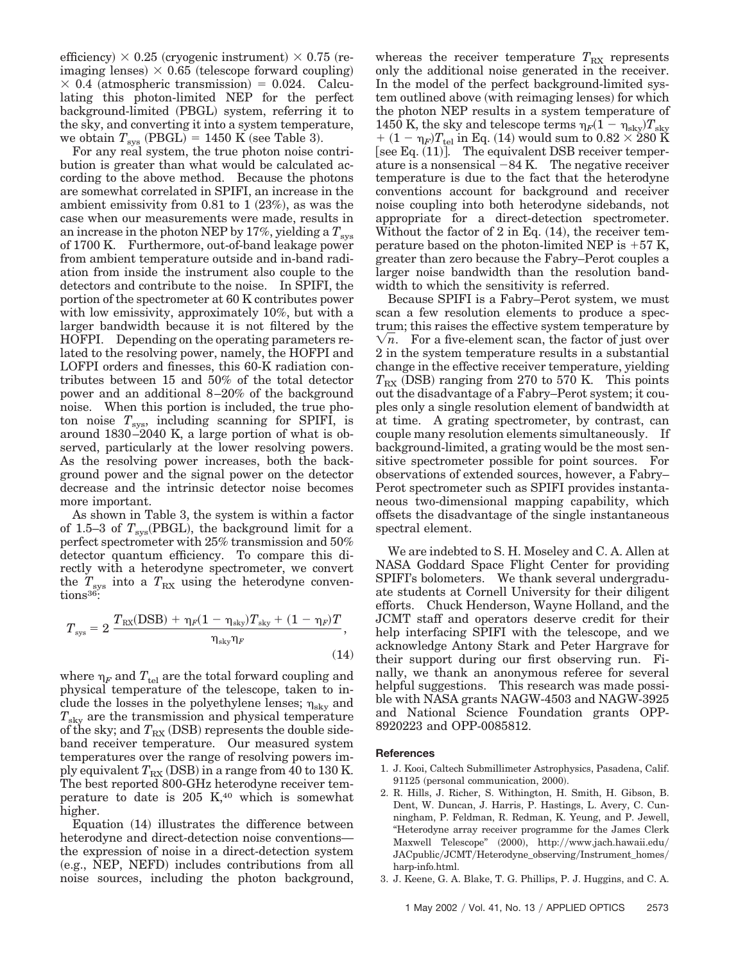efficiency)  $\times$  0.25 (cryogenic instrument)  $\times$  0.75 (reimaging lenses)  $\times$  0.65 (telescope forward coupling)  $\times$  0.4 (atmospheric transmission) = 0.024. Calculating this photon-limited NEP for the perfect background-limited (PBGL) system, referring it to the sky, and converting it into a system temperature, we obtain  $T_{\rm sys}$  (PBGL) = 1450 K (see Table 3).

For any real system, the true photon noise contribution is greater than what would be calculated according to the above method. Because the photons are somewhat correlated in SPIFI, an increase in the ambient emissivity from  $0.81$  to  $1$   $(23%)$ , as was the case when our measurements were made, results in an increase in the photon NEP by 17%, yielding a  $T_{\rm sys}$ of 1700 K. Furthermore, out-of-band leakage power from ambient temperature outside and in-band radiation from inside the instrument also couple to the detectors and contribute to the noise. In SPIFI, the portion of the spectrometer at 60 K contributes power with low emissivity, approximately 10%, but with a larger bandwidth because it is not filtered by the HOFPI. Depending on the operating parameters related to the resolving power, namely, the HOFPI and LOFPI orders and finesses, this 60-K radiation contributes between 15 and 50% of the total detector power and an additional 8–20% of the background noise. When this portion is included, the true photon noise  $T_{\rm sys}$ , including scanning for SPIFI, is around 1830–2040 K, a large portion of what is observed, particularly at the lower resolving powers. As the resolving power increases, both the background power and the signal power on the detector decrease and the intrinsic detector noise becomes more important.

As shown in Table 3, the system is within a factor of 1.5–3 of  $T_{\rm sys}(\rm PBGL)$ , the background limit for a perfect spectrometer with 25% transmission and 50% detector quantum efficiency. To compare this directly with a heterodyne spectrometer, we convert the  $T_{\rm sys}$  into a  $T_{\rm RX}$  using the heterodyne conventions<sup>36</sup>:

$$
T_{\rm sys} = 2 \frac{T_{\rm RX}(\text{DSB}) + \eta_F (1 - \eta_{\rm sky}) T_{\rm sky} + (1 - \eta_F) T}{\eta_{\rm sky} \eta_F},
$$
\n(14)

where  $\eta_F$  and  $T_{\text{tel}}$  are the total forward coupling and physical temperature of the telescope, taken to include the losses in the polyethylene lenses;  $\eta_{\rm sky}$  and *T*sky are the transmission and physical temperature of the sky; and  $T_{\rm RX}$  (DSB) represents the double sideband receiver temperature. Our measured system temperatures over the range of resolving powers imply equivalent  $T_\mathrm{RX}$  (DSB) in a range from 40 to 130 K. The best reported 800-GHz heterodyne receiver temperature to date is  $205$  K, $40$  which is somewhat higher.

Equation (14) illustrates the difference between heterodyne and direct-detection noise conventions the expression of noise in a direct-detection system (e.g., NEP, NEFD) includes contributions from all noise sources, including the photon background, whereas the receiver temperature  $T_{\text{RX}}$  represents only the additional noise generated in the receiver. In the model of the perfect background-limited system outlined above (with reimaging lenses) for which the photon NEP results in a system temperature of 1450 K, the sky and telescope terms  $\eta_F (1 - \eta_{\rm sky}) T_{\rm sky}$  $\tau_{\rm f} + (1-\eta_F) T_{\rm tel}$  in Eq. (14) would sum to  $0.82 \times 280~{\rm K}$ [see Eq.  $(11)$ ]. The equivalent DSB receiver temperature is a nonsensical  $-84$  K. The negative receiver temperature is due to the fact that the heterodyne conventions account for background and receiver noise coupling into both heterodyne sidebands, not appropriate for a direct-detection spectrometer. Without the factor of 2 in Eq.  $(14)$ , the receiver temperature based on the photon-limited NEP is  $+57$  K, greater than zero because the Fabry–Perot couples a larger noise bandwidth than the resolution bandwidth to which the sensitivity is referred.

Because SPIFI is a Fabry–Perot system, we must scan a few resolution elements to produce a spectrum; this raises the effective system temperature by  $\sqrt{n}$ . For a five-element scan, the factor of just over 2 in the system temperature results in a substantial change in the effective receiver temperature, yielding  $T_{\rm RX}$  (DSB) ranging from 270 to 570 K. This points out the disadvantage of a Fabry–Perot system; it couples only a single resolution element of bandwidth at at time. A grating spectrometer, by contrast, can couple many resolution elements simultaneously. If background-limited, a grating would be the most sensitive spectrometer possible for point sources. For observations of extended sources, however, a Fabry– Perot spectrometer such as SPIFI provides instantaneous two-dimensional mapping capability, which offsets the disadvantage of the single instantaneous spectral element.

We are indebted to S. H. Moseley and C. A. Allen at NASA Goddard Space Flight Center for providing SPIFI's bolometers. We thank several undergraduate students at Cornell University for their diligent efforts. Chuck Henderson, Wayne Holland, and the JCMT staff and operators deserve credit for their help interfacing SPIFI with the telescope, and we acknowledge Antony Stark and Peter Hargrave for their support during our first observing run. Finally, we thank an anonymous referee for several helpful suggestions. This research was made possible with NASA grants NAGW-4503 and NAGW-3925 and National Science Foundation grants OPP-8920223 and OPP-0085812.

#### **References**

- 1. J. Kooi, Caltech Submillimeter Astrophysics, Pasadena, Calif. 91125 (personal communication, 2000).
- 2. R. Hills, J. Richer, S. Withington, H. Smith, H. Gibson, B. Dent, W. Duncan, J. Harris, P. Hastings, L. Avery, C. Cunningham, P. Feldman, R. Redman, K. Yeung, and P. Jewell, "Heterodyne array receiver programme for the James Clerk Maxwell Telescope" (2000), http://www.jach.hawaii.edu/ JACpublic/JCMT/Heterodyne\_observing/Instrument\_homes/ harp-info.html.
- 3. J. Keene, G. A. Blake, T. G. Phillips, P. J. Huggins, and C. A.